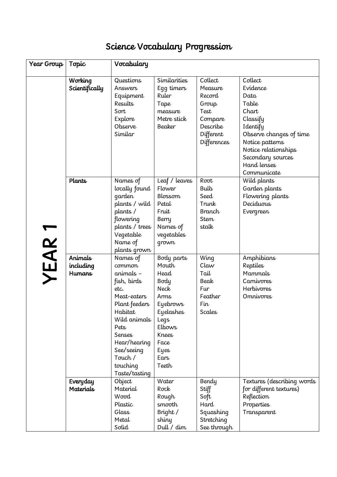## Science Vocabulary Progression

| Year Group | Topic                     | Vocabulary                        |                                            |                              |                             |
|------------|---------------------------|-----------------------------------|--------------------------------------------|------------------------------|-----------------------------|
|            |                           |                                   |                                            |                              |                             |
|            | Working<br>Scientifically | Questions<br>Answers<br>Equipment | <b>Similarities</b><br>Eqq timers<br>Ruler | Collect<br>Measure<br>Record | Collect<br>Evidence<br>Data |
|            |                           | Results                           | Tape                                       | Group                        | Table                       |
|            |                           | Sort                              | measure                                    | Test                         | Chart                       |
|            |                           | Explore                           | Metre stick                                | Compare                      | Classify                    |
|            |                           | Observe                           | Beaker                                     | Describe                     | Identify                    |
|            |                           | Similar                           |                                            | Different                    | Observe changes of time     |
|            |                           |                                   |                                            | <b>Differences</b>           | Notice patterns             |
|            |                           |                                   |                                            |                              | Notice relationships        |
|            |                           |                                   |                                            |                              | Secondary sources           |
|            |                           |                                   |                                            |                              | Hand lenses                 |
|            |                           |                                   |                                            |                              | Communicate                 |
|            | Plants                    | Names of                          | Leaf / leaves                              | Root                         | Wild plants                 |
|            |                           | locally found                     | Flower                                     | <b>Bulb</b>                  | Garden plants               |
| YEAR 1     |                           | qarden                            | Blossom                                    | Seed                         | Flowering plants            |
|            |                           | plants / wild                     | Petal                                      | Trunk                        | Deciduous                   |
|            |                           | plants/                           | Fruit                                      | Branch                       | Evergreen                   |
|            |                           | flowering                         | Berry                                      | <b>Stem</b>                  |                             |
|            |                           | plants / trees                    | Names of                                   | stalk                        |                             |
|            |                           | Vegetable                         | vegetables                                 |                              |                             |
|            |                           | Name of<br>plants grown           | grown                                      |                              |                             |
|            | Animals                   | Names of                          | Body parts                                 | Wing                         | Amphibians                  |
|            | including                 | common                            | Mouth                                      | Claw                         | Reptiles                    |
|            | <b>Humans</b>             | animals -                         | Head                                       | Tail                         | Mammals                     |
|            |                           | fish, birds                       | Body                                       | Beak                         | Carnivores                  |
|            |                           | etc.                              | Neck                                       | Fur                          | <b>Herbivores</b>           |
|            |                           | Meat-eaters                       | Arms                                       | Feather                      | <b>Omnivores</b>            |
|            |                           | Plant feeders                     | Eyebrows                                   | Fin                          |                             |
|            |                           | Habitat                           | Eyelashes                                  | <b>Scales</b>                |                             |
|            |                           | Wild animals                      | Legs                                       |                              |                             |
|            |                           | Pets                              | <b>Elbows</b>                              |                              |                             |
|            |                           | Senses                            | Knees                                      |                              |                             |
|            |                           | Hear/hearing                      | Face                                       |                              |                             |
|            |                           | See/seeing                        | <b>Eyes</b>                                |                              |                             |
|            |                           | Touch /                           | Ears                                       |                              |                             |
|            |                           | touching                          | Teeth                                      |                              |                             |
|            |                           | Taste/tasting                     |                                            |                              |                             |
|            | Everyday                  | Object                            | Water                                      | Bendy                        | Textures (describing words  |
|            | <b>Materials</b>          | Material<br>Wood                  | Rock                                       | Stiff                        | for different textures)     |
|            |                           | Plastic                           | Rough<br>smooth                            | Soft<br>Hard                 | Reflection<br>Properties    |
|            |                           | Glass                             | Bright /                                   | Squashing                    | Transparent                 |
|            |                           | Metal                             | shiny                                      | Stretching                   |                             |
|            |                           | Solid                             | Dull / dim                                 | See through                  |                             |
|            |                           |                                   |                                            |                              |                             |